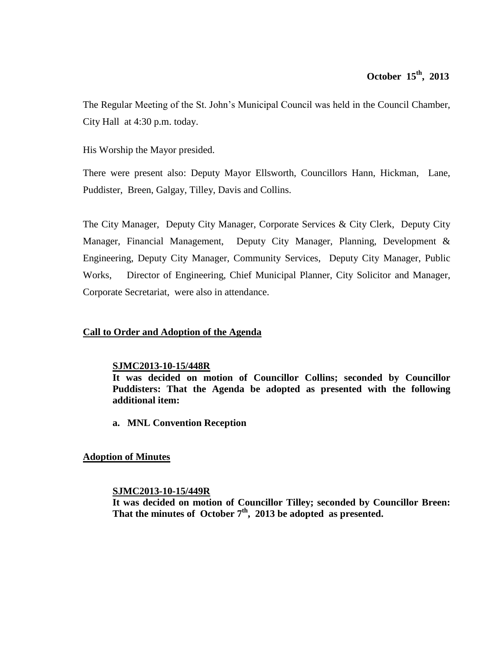The Regular Meeting of the St. John's Municipal Council was held in the Council Chamber, City Hall at 4:30 p.m. today.

His Worship the Mayor presided.

There were present also: Deputy Mayor Ellsworth, Councillors Hann, Hickman, Lane, Puddister, Breen, Galgay, Tilley, Davis and Collins.

The City Manager, Deputy City Manager, Corporate Services & City Clerk, Deputy City Manager, Financial Management, Deputy City Manager, Planning, Development & Engineering, Deputy City Manager, Community Services, Deputy City Manager, Public Works, Director of Engineering, Chief Municipal Planner, City Solicitor and Manager, Corporate Secretariat, were also in attendance.

# **Call to Order and Adoption of the Agenda**

# **SJMC2013-10-15/448R**

**It was decided on motion of Councillor Collins; seconded by Councillor Puddisters: That the Agenda be adopted as presented with the following additional item:**

**a. MNL Convention Reception**

# **Adoption of Minutes**

# **SJMC2013-10-15/449R**

**It was decided on motion of Councillor Tilley; seconded by Councillor Breen: That the minutes of October 7th , 2013 be adopted as presented.**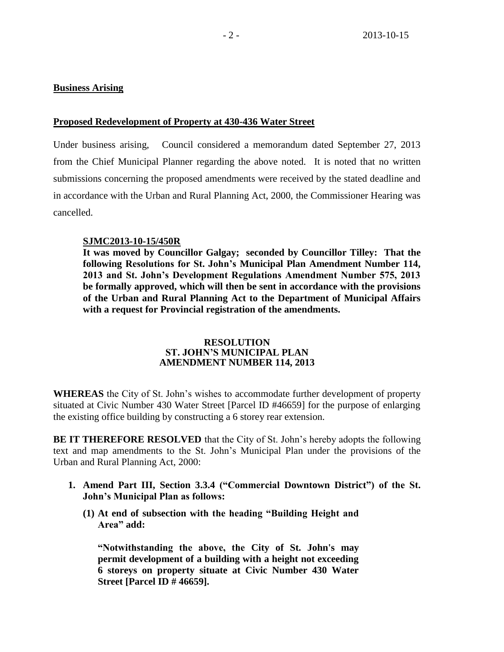#### **Business Arising**

#### **Proposed Redevelopment of Property at 430-436 Water Street**

Under business arising, Council considered a memorandum dated September 27, 2013 from the Chief Municipal Planner regarding the above noted. It is noted that no written submissions concerning the proposed amendments were received by the stated deadline and in accordance with the Urban and Rural Planning Act, 2000, the Commissioner Hearing was cancelled.

#### **SJMC2013-10-15/450R**

**It was moved by Councillor Galgay; seconded by Councillor Tilley: That the following Resolutions for St. John's Municipal Plan Amendment Number 114, 2013 and St. John's Development Regulations Amendment Number 575, 2013 be formally approved, which will then be sent in accordance with the provisions of the Urban and Rural Planning Act to the Department of Municipal Affairs with a request for Provincial registration of the amendments.**

#### **RESOLUTION ST. JOHN'S MUNICIPAL PLAN AMENDMENT NUMBER 114, 2013**

**WHEREAS** the City of St. John's wishes to accommodate further development of property situated at Civic Number 430 Water Street [Parcel ID #46659] for the purpose of enlarging the existing office building by constructing a 6 storey rear extension.

**BE IT THEREFORE RESOLVED** that the City of St. John's hereby adopts the following text and map amendments to the St. John's Municipal Plan under the provisions of the Urban and Rural Planning Act, 2000:

- **1. Amend Part III, Section 3.3.4 ("Commercial Downtown District") of the St. John's Municipal Plan as follows:**
	- **(1) At end of subsection with the heading "Building Height and Area" add:**

**"Notwithstanding the above, the City of St. John's may permit development of a building with a height not exceeding 6 storeys on property situate at Civic Number 430 Water Street [Parcel ID # 46659].**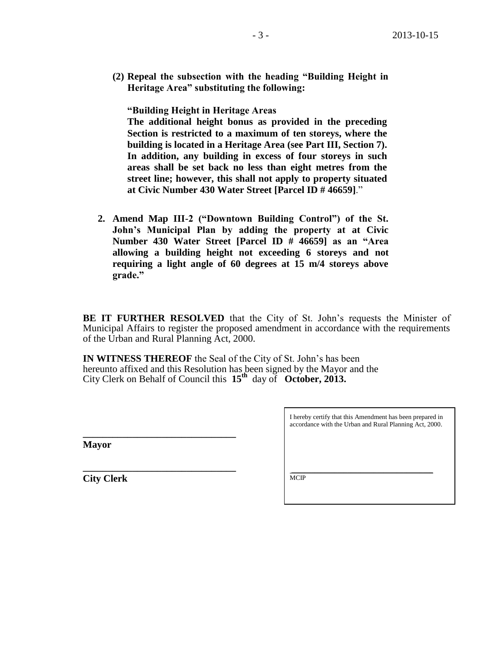**(2) Repeal the subsection with the heading "Building Height in Heritage Area" substituting the following:**

**"Building Height in Heritage Areas**

**The additional height bonus as provided in the preceding Section is restricted to a maximum of ten storeys, where the building is located in a Heritage Area (see Part III, Section 7). In addition, any building in excess of four storeys in such areas shall be set back no less than eight metres from the street line; however, this shall not apply to property situated at Civic Number 430 Water Street [Parcel ID # 46659]**."

**2. Amend Map III-2 ("Downtown Building Control") of the St. John's Municipal Plan by adding the property at at Civic Number 430 Water Street [Parcel ID # 46659] as an "Area allowing a building height not exceeding 6 storeys and not requiring a light angle of 60 degrees at 15 m/4 storeys above grade."**

**BE IT FURTHER RESOLVED** that the City of St. John's requests the Minister of Municipal Affairs to register the proposed amendment in accordance with the requirements of the Urban and Rural Planning Act, 2000.

**IN WITNESS THEREOF** the Seal of the City of St. John's has been hereunto affixed and this Resolution has been signed by the Mayor and the City Clerk on Behalf of Council this **15th** day of **October, 2013.**

**Mayor**

**City Clerk**

**\_\_\_\_\_\_\_\_\_\_\_\_\_\_\_\_\_\_\_\_\_\_\_\_\_\_\_\_\_\_\_**

**\_\_\_\_\_\_\_\_\_\_\_\_\_\_\_\_\_\_\_\_\_\_\_\_\_\_\_\_\_\_\_**

I hereby certify that this Amendment has been prepared in accordance with the Urban and Rural Planning Act, 2000.

\_\_\_\_\_\_\_\_\_\_\_\_\_\_\_\_\_\_\_\_\_\_\_\_\_\_\_\_\_\_\_\_\_\_\_\_\_\_\_\_\_\_\_ **MCIP**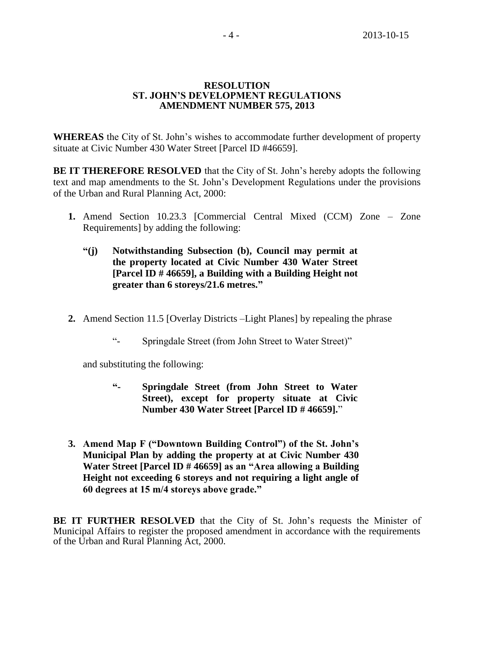#### **RESOLUTION ST. JOHN'S DEVELOPMENT REGULATIONS AMENDMENT NUMBER 575, 2013**

**WHEREAS** the City of St. John's wishes to accommodate further development of property situate at Civic Number 430 Water Street [Parcel ID #46659].

**BE IT THEREFORE RESOLVED** that the City of St. John's hereby adopts the following text and map amendments to the St. John's Development Regulations under the provisions of the Urban and Rural Planning Act, 2000:

- **1.** Amend Section 10.23.3 [Commercial Central Mixed (CCM) Zone Zone Requirements] by adding the following:
	- **"(j) Notwithstanding Subsection (b), Council may permit at the property located at Civic Number 430 Water Street [Parcel ID # 46659], a Building with a Building Height not greater than 6 storeys/21.6 metres."**
- **2.** Amend Section 11.5 [Overlay Districts –Light Planes] by repealing the phrase
	- "- Springdale Street (from John Street to Water Street)"

and substituting the following:

- **"- Springdale Street (from John Street to Water Street), except for property situate at Civic Number 430 Water Street [Parcel ID # 46659].**"
- **3. Amend Map F ("Downtown Building Control") of the St. John's Municipal Plan by adding the property at at Civic Number 430 Water Street [Parcel ID # 46659] as an "Area allowing a Building Height not exceeding 6 storeys and not requiring a light angle of 60 degrees at 15 m/4 storeys above grade."**

**BE IT FURTHER RESOLVED** that the City of St. John's requests the Minister of Municipal Affairs to register the proposed amendment in accordance with the requirements of the Urban and Rural Planning Act, 2000.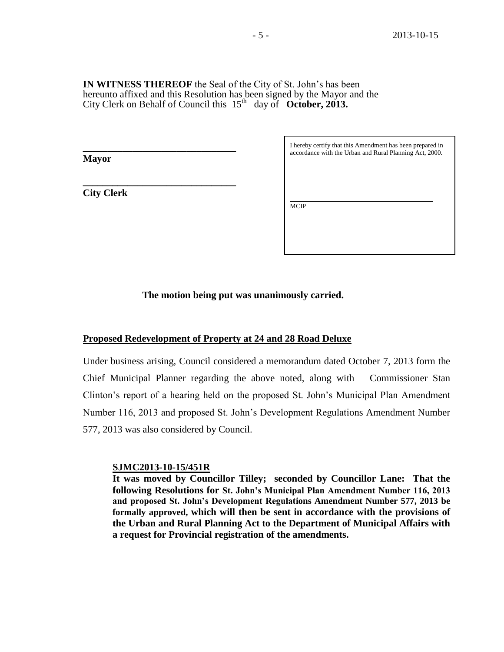#### **IN WITNESS THEREOF** the Seal of the City of St. John's has been hereunto affixed and this Resolution has been signed by the Mayor and the City Clerk on Behalf of Council this 15th day of **October, 2013.**

**Mayor**

**City Clerk**

**\_\_\_\_\_\_\_\_\_\_\_\_\_\_\_\_\_\_\_\_\_\_\_\_\_\_\_\_\_\_\_**

**\_\_\_\_\_\_\_\_\_\_\_\_\_\_\_\_\_\_\_\_\_\_\_\_\_\_\_\_\_\_\_**

I hereby certify that this Amendment has been prepared in accordance with the Urban and Rural Planning Act, 2000.

\_\_\_\_\_\_\_\_\_\_\_\_\_\_\_\_\_\_\_\_\_\_\_\_\_\_\_\_\_\_\_\_\_\_\_\_\_\_\_\_\_\_\_ MCIP

**The motion being put was unanimously carried.**

#### **Proposed Redevelopment of Property at 24 and 28 Road Deluxe**

Under business arising, Council considered a memorandum dated October 7, 2013 form the Chief Municipal Planner regarding the above noted, along with Commissioner Stan Clinton's report of a hearing held on the proposed St. John's Municipal Plan Amendment Number 116, 2013 and proposed St. John's Development Regulations Amendment Number 577, 2013 was also considered by Council.

#### **SJMC2013-10-15/451R**

**It was moved by Councillor Tilley; seconded by Councillor Lane: That the following Resolutions for St. John's Municipal Plan Amendment Number 116, 2013 and proposed St. John's Development Regulations Amendment Number 577, 2013 be formally approved, which will then be sent in accordance with the provisions of the Urban and Rural Planning Act to the Department of Municipal Affairs with a request for Provincial registration of the amendments.**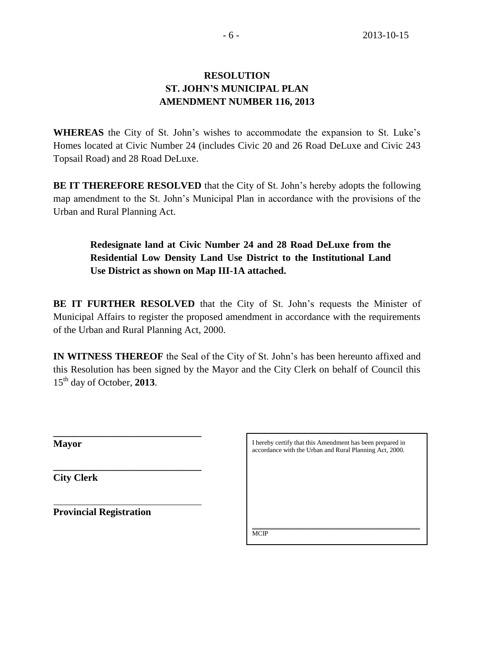# **RESOLUTION ST. JOHN'S MUNICIPAL PLAN AMENDMENT NUMBER 116, 2013**

**WHEREAS** the City of St. John's wishes to accommodate the expansion to St. Luke's Homes located at Civic Number 24 (includes Civic 20 and 26 Road DeLuxe and Civic 243 Topsail Road) and 28 Road DeLuxe.

**BE IT THEREFORE RESOLVED** that the City of St. John's hereby adopts the following map amendment to the St. John's Municipal Plan in accordance with the provisions of the Urban and Rural Planning Act.

# **Redesignate land at Civic Number 24 and 28 Road DeLuxe from the Residential Low Density Land Use District to the Institutional Land Use District as shown on Map III-1A attached.**

**BE IT FURTHER RESOLVED** that the City of St. John's requests the Minister of Municipal Affairs to register the proposed amendment in accordance with the requirements of the Urban and Rural Planning Act, 2000.

**IN WITNESS THEREOF** the Seal of the City of St. John's has been hereunto affixed and this Resolution has been signed by the Mayor and the City Clerk on behalf of Council this 15th day of October, **2013**.

**Mayor**

**City Clerk**

**Provincial Registration**

**\_\_\_\_\_\_\_\_\_\_\_\_\_\_\_\_\_\_\_\_\_\_\_\_\_\_\_\_\_\_**

**\_\_\_\_\_\_\_\_\_\_\_\_\_\_\_\_\_\_\_\_\_\_\_\_\_\_\_\_\_\_** 

I hereby certify that this Amendment has been prepared in accordance with the Urban and Rural Planning Act, 2000.

\_\_\_\_\_\_\_\_\_\_\_\_\_\_\_\_\_\_\_\_\_\_\_\_\_\_\_\_\_\_\_\_\_\_\_\_\_\_\_\_\_\_\_\_\_\_\_\_\_\_\_

**MCIP**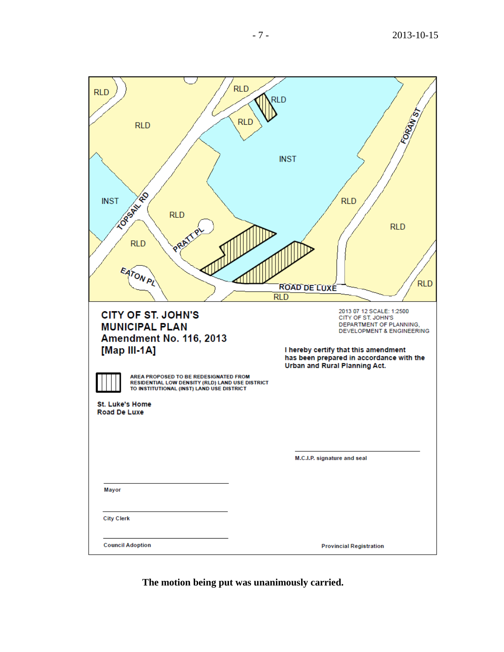| <b>RLD</b><br><b>RLD</b><br><b>LOPANTED</b><br><b>INST</b><br><b>RLD</b><br><b>RLD</b><br>PRI<br>EATON PL                                                                                                                                                                        | <b>RLD</b><br><b>RLD</b><br><b>RLD</b><br><b>INST</b><br><b>RLD</b><br><b>RLD</b><br><b>RLD</b><br><b>ROAD DE LUXE</b>                                                                                                                 |
|----------------------------------------------------------------------------------------------------------------------------------------------------------------------------------------------------------------------------------------------------------------------------------|----------------------------------------------------------------------------------------------------------------------------------------------------------------------------------------------------------------------------------------|
|                                                                                                                                                                                                                                                                                  | <b>RLD</b>                                                                                                                                                                                                                             |
| <b>CITY OF ST. JOHN'S</b><br><b>MUNICIPAL PLAN</b><br>Amendment No. 116, 2013<br>[Map III-1A]<br>AREA PROPOSED TO BE REDESIGNATED FROM<br>RESIDENTIAL LOW DENSITY (RLD) LAND USE DISTRICT<br>TO INSTITUTIONAL (INST) LAND USE DISTRICT<br><b>St. Luke's Home</b><br>Road De Luxe | 2013 07 12 SCALE: 1:2500<br>CITY OF ST. JOHN'S<br>DEPARTMENT OF PLANNING,<br><b>DEVELOPMENT &amp; ENGINEERING</b><br>I hereby certify that this amendment<br>has been prepared in accordance with the<br>Urban and Rural Planning Act. |
|                                                                                                                                                                                                                                                                                  |                                                                                                                                                                                                                                        |
|                                                                                                                                                                                                                                                                                  | M.C.I.P. signature and seal                                                                                                                                                                                                            |
| Mayor<br><b>City Clerk</b>                                                                                                                                                                                                                                                       |                                                                                                                                                                                                                                        |
|                                                                                                                                                                                                                                                                                  |                                                                                                                                                                                                                                        |
| <b>Council Adoption</b>                                                                                                                                                                                                                                                          | <b>Provincial Registration</b>                                                                                                                                                                                                         |

**The motion being put was unanimously carried.**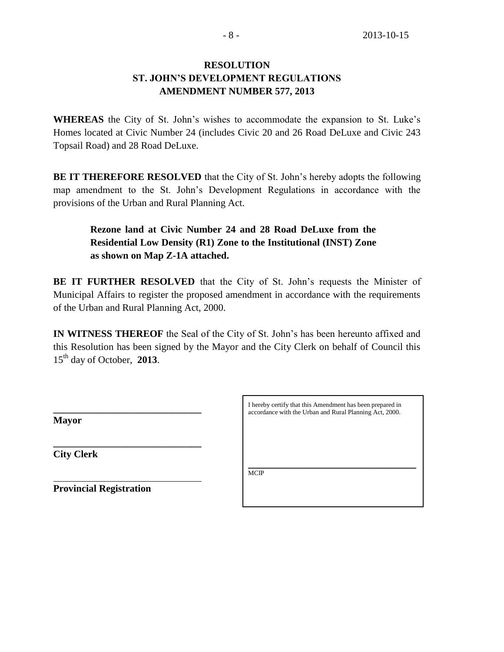# **RESOLUTION ST. JOHN'S DEVELOPMENT REGULATIONS AMENDMENT NUMBER 577, 2013**

**WHEREAS** the City of St. John's wishes to accommodate the expansion to St. Luke's Homes located at Civic Number 24 (includes Civic 20 and 26 Road DeLuxe and Civic 243 Topsail Road) and 28 Road DeLuxe.

**BE IT THEREFORE RESOLVED** that the City of St. John's hereby adopts the following map amendment to the St. John's Development Regulations in accordance with the provisions of the Urban and Rural Planning Act.

# **Rezone land at Civic Number 24 and 28 Road DeLuxe from the Residential Low Density (R1) Zone to the Institutional (INST) Zone as shown on Map Z-1A attached.**

**BE IT FURTHER RESOLVED** that the City of St. John's requests the Minister of Municipal Affairs to register the proposed amendment in accordance with the requirements of the Urban and Rural Planning Act, 2000.

**IN WITNESS THEREOF** the Seal of the City of St. John's has been hereunto affixed and this Resolution has been signed by the Mayor and the City Clerk on behalf of Council this 15th day of October, **2013**.

**Mayor**

**City Clerk**

I hereby certify that this Amendment has been prepared in accordance with the Urban and Rural Planning Act, 2000.

\_\_\_\_\_\_\_\_\_\_\_\_\_\_\_\_\_\_\_\_\_\_\_\_\_\_\_\_\_\_\_\_\_\_\_\_\_\_\_\_\_\_\_\_\_\_\_\_\_\_\_ MCIP

**Provincial Registration**

**\_\_\_\_\_\_\_\_\_\_\_\_\_\_\_\_\_\_\_\_\_\_\_\_\_\_\_\_\_\_**

**\_\_\_\_\_\_\_\_\_\_\_\_\_\_\_\_\_\_\_\_\_\_\_\_\_\_\_\_\_\_**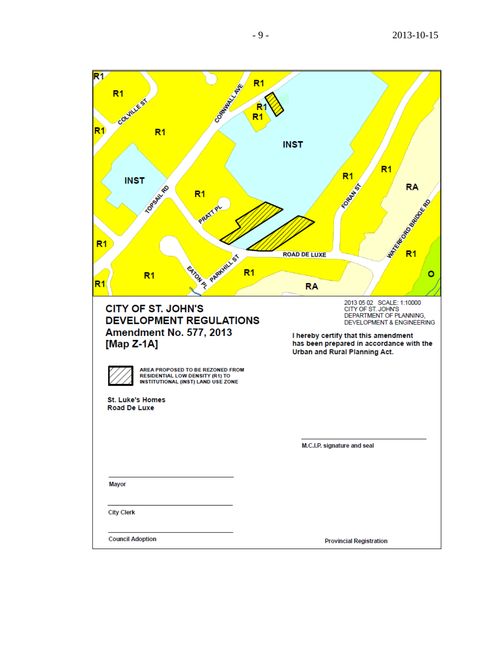- 2013 -10 -15

| R1                                                                                                                      | $R1$                                                                                                                                                                                                                         |
|-------------------------------------------------------------------------------------------------------------------------|------------------------------------------------------------------------------------------------------------------------------------------------------------------------------------------------------------------------------|
| CORRENT LAND<br>R <sub>1</sub><br>countries                                                                             |                                                                                                                                                                                                                              |
| R1<br>R <sub>1</sub>                                                                                                    | R <sub>1</sub>                                                                                                                                                                                                               |
|                                                                                                                         | <b>INST</b>                                                                                                                                                                                                                  |
|                                                                                                                         | $R1$<br>R <sub>1</sub>                                                                                                                                                                                                       |
| <b>INST</b><br><b>LORSWILLED</b><br>R <sub>1</sub>                                                                      | <b>RA</b><br><b>FORDER</b>                                                                                                                                                                                                   |
| PRAT                                                                                                                    | Maritime Board River                                                                                                                                                                                                         |
| R <sub>1</sub>                                                                                                          |                                                                                                                                                                                                                              |
|                                                                                                                         | <b>ROAD DE LUXE</b>                                                                                                                                                                                                          |
| BISA SPRAWL'ST<br>R <sub>1</sub><br>R1                                                                                  | R <sub>1</sub><br>٥<br><b>RA</b>                                                                                                                                                                                             |
| <b>CITY OF ST. JOHN'S</b><br><b>DEVELOPMENT REGULATIONS</b><br><b>Amendment No. 577, 2013</b><br>[Map $Z-1A$ ]          | 2013 05 02 SCALE: 1:10000<br>CITY OF ST. JOHN'S<br>DEPARTMENT OF PLANNING,<br>DEVELOPMENT & ENGINEERING<br>I hereby certify that this amendment<br>has been prepared in accordance with the<br>Urban and Rural Planning Act. |
| AREA PROPOSED TO BE REZONED FROM<br><b>RESIDENTIAL LOW DENSITY (R1) TO</b><br><b>INSTITUTIONAL (INST) LAND USE ZONE</b> |                                                                                                                                                                                                                              |
| <b>St. Luke's Homes</b><br><b>Road De Luxe</b>                                                                          |                                                                                                                                                                                                                              |
|                                                                                                                         |                                                                                                                                                                                                                              |
|                                                                                                                         | M.C.I.P. signature and seal                                                                                                                                                                                                  |
| Mayor                                                                                                                   |                                                                                                                                                                                                                              |
|                                                                                                                         |                                                                                                                                                                                                                              |
| <b>City Clerk</b>                                                                                                       |                                                                                                                                                                                                                              |
| <b>Council Adoption</b>                                                                                                 | <b>Provincial Registration</b>                                                                                                                                                                                               |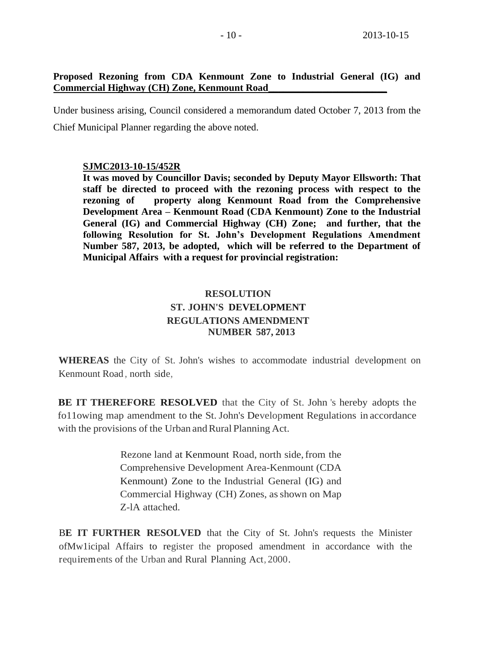# **Proposed Rezoning from CDA Kenmount Zone to Industrial General (IG) and Commercial Highway (CH) Zone, Kenmount Road\_\_\_\_\_\_\_\_\_\_\_\_\_\_\_\_\_\_\_\_\_\_\_\_**

Under business arising, Council considered a memorandum dated October 7, 2013 from the Chief Municipal Planner regarding the above noted.

#### **SJMC2013-10-15/452R**

**It was moved by Councillor Davis; seconded by Deputy Mayor Ellsworth: That staff be directed to proceed with the rezoning process with respect to the rezoning of property along Kenmount Road from the Comprehensive Development Area – Kenmount Road (CDA Kenmount) Zone to the Industrial General (IG) and Commercial Highway (CH) Zone; and further, that the following Resolution for St. John's Development Regulations Amendment Number 587, 2013, be adopted, which will be referred to the Department of Municipal Affairs with a request for provincial registration:**

# **RESOLUTION ST. JOHN'S DEVELOPMENT REGULATIONS AMENDMENT NUMBER 587, 2013**

**WHEREAS** the City of St. John's wishes to accommodate industrial development on Kenmount Road , north side,

**BE IT THEREFORE RESOLVED** that the City of St. John 's hereby adopts the fo11owing map amendment to the St. John's Development Regulations in accordance with the provisions of the Urban and Rural Planning Act.

> Rezone land at Kenmount Road, north side, from the Comprehensive Development Area-Kenmount (CDA Kenmount) Zone to the Industrial General (IG) and Commercial Highway (CH) Zones, as shown on Map Z-lA attached.

B**E IT FURTHER RESOLVED** that the City of St. John's requests the Minister ofMw1icipal Affairs to register the proposed amendment in accordance with the requirements of the Urban and Rural Planning Act, 2000.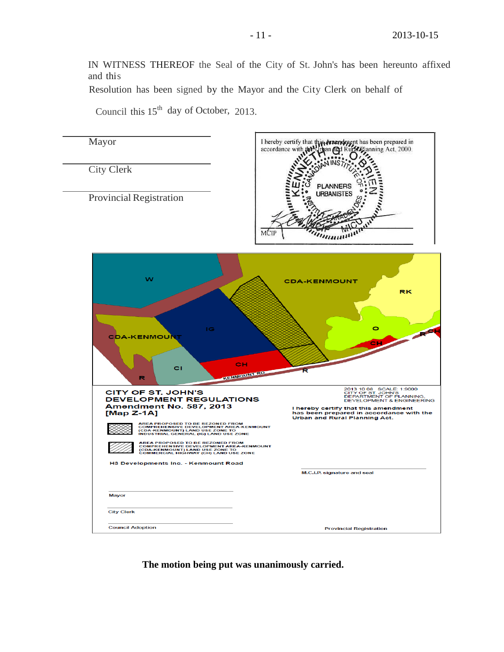IN WITNESS THEREOF the Seal of the City of St. John's has been hereunto affixed and this

Resolution has been signed by the Mayor and the City Clerk on behalf of

Council this  $15<sup>th</sup>$  day of October, 2013.



**The motion being put was unanimously carried.**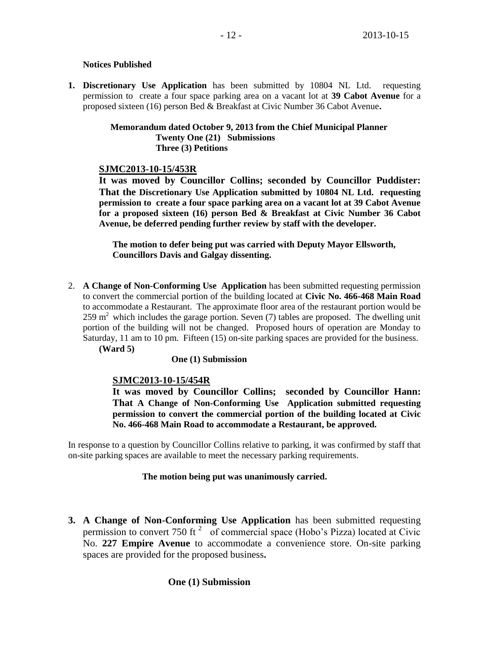#### **Notices Published**

**1. Discretionary Use Application** has been submitted by 10804 NL Ltd. requesting permission to create a four space parking area on a vacant lot at **39 Cabot Avenue** for a proposed sixteen (16) person Bed & Breakfast at Civic Number 36 Cabot Avenue**.** 

#### **Memorandum dated October 9, 2013 from the Chief Municipal Planner Twenty One (21) Submissions Three (3) Petitions**

# **SJMC2013-10-15/453R**

**It was moved by Councillor Collins; seconded by Councillor Puddister: That the Discretionary Use Application submitted by 10804 NL Ltd. requesting permission to create a four space parking area on a vacant lot at 39 Cabot Avenue for a proposed sixteen (16) person Bed & Breakfast at Civic Number 36 Cabot Avenue, be deferred pending further review by staff with the developer.** 

**The motion to defer being put was carried with Deputy Mayor Ellsworth, Councillors Davis and Galgay dissenting.** 

2. **A Change of Non-Conforming Use Application** has been submitted requesting permission to convert the commercial portion of the building located at **Civic No. 466-468 Main Road** to accommodate a Restaurant. The approximate floor area of the restaurant portion would be  $259 \text{ m}^2$  which includes the garage portion. Seven (7) tables are proposed. The dwelling unit portion of the building will not be changed. Proposed hours of operation are Monday to Saturday, 11 am to 10 pm. Fifteen (15) on-site parking spaces are provided for the business.

**(Ward 5)**

# **One (1) Submission**

# **SJMC2013-10-15/454R**

**It was moved by Councillor Collins; seconded by Councillor Hann: That A Change of Non-Conforming Use Application submitted requesting permission to convert the commercial portion of the building located at Civic No. 466-468 Main Road to accommodate a Restaurant, be approved.** 

In response to a question by Councillor Collins relative to parking, it was confirmed by staff that on-site parking spaces are available to meet the necessary parking requirements.

# **The motion being put was unanimously carried.**

**3. A Change of Non-Conforming Use Application** has been submitted requesting permission to convert 750 ft<sup>2</sup> of commercial space (Hobo's Pizza) located at Civic No. **227 Empire Avenue** to accommodate a convenience store. On-site parking spaces are provided for the proposed business**.** 

# **One (1) Submission**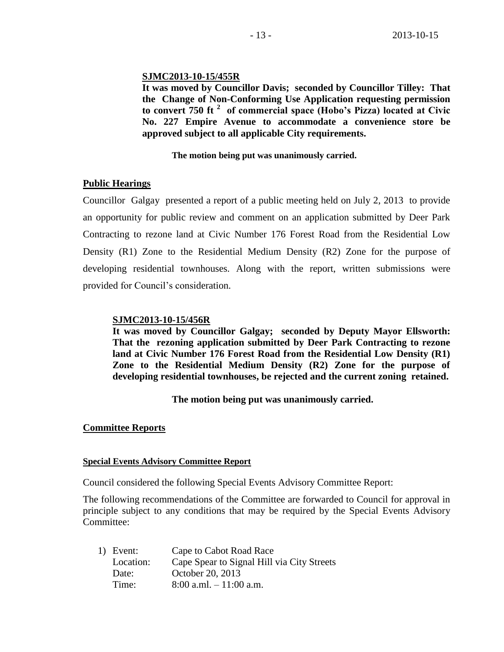#### **SJMC2013-10-15/455R**

**It was moved by Councillor Davis; seconded by Councillor Tilley: That the Change of Non-Conforming Use Application requesting permission to convert 750 ft <sup>2</sup> of commercial space (Hobo's Pizza) located at Civic No. 227 Empire Avenue to accommodate a convenience store be approved subject to all applicable City requirements.**

#### **The motion being put was unanimously carried.**

# **Public Hearings**

Councillor Galgay presented a report of a public meeting held on July 2, 2013 to provide an opportunity for public review and comment on an application submitted by Deer Park Contracting to rezone land at Civic Number 176 Forest Road from the Residential Low Density (R1) Zone to the Residential Medium Density (R2) Zone for the purpose of developing residential townhouses. Along with the report, written submissions were provided for Council's consideration.

#### **SJMC2013-10-15/456R**

**It was moved by Councillor Galgay; seconded by Deputy Mayor Ellsworth: That the rezoning application submitted by Deer Park Contracting to rezone land at Civic Number 176 Forest Road from the Residential Low Density (R1) Zone to the Residential Medium Density (R2) Zone for the purpose of developing residential townhouses, be rejected and the current zoning retained.**

 **The motion being put was unanimously carried.**

# **Committee Reports**

#### **Special Events Advisory Committee Report**

Council considered the following Special Events Advisory Committee Report:

The following recommendations of the Committee are forwarded to Council for approval in principle subject to any conditions that may be required by the Special Events Advisory Committee:

| 1) Event: | Cape to Cabot Road Race                    |
|-----------|--------------------------------------------|
| Location: | Cape Spear to Signal Hill via City Streets |
| Date:     | October 20, 2013                           |
| Time:     | $8:00$ a.ml. $-11:00$ a.m.                 |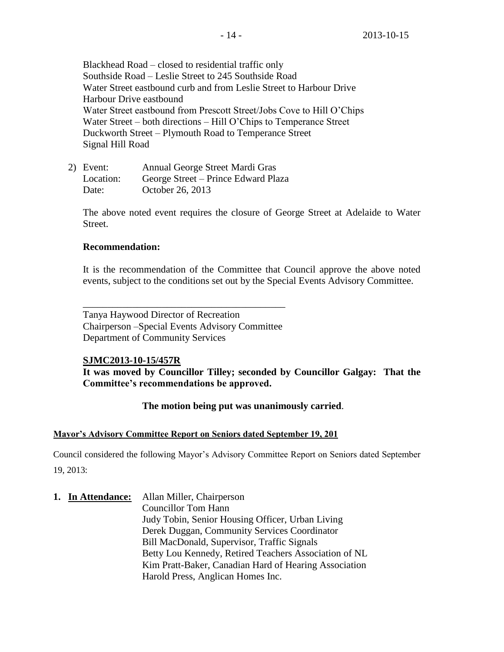Blackhead Road – closed to residential traffic only Southside Road – Leslie Street to 245 Southside Road Water Street eastbound curb and from Leslie Street to Harbour Drive Harbour Drive eastbound Water Street eastbound from Prescott Street/Jobs Cove to Hill O'Chips Water Street – both directions – Hill O'Chips to Temperance Street Duckworth Street – Plymouth Road to Temperance Street Signal Hill Road

2) Event: Annual George Street Mardi Gras Location: George Street – Prince Edward Plaza Date: October 26, 2013

The above noted event requires the closure of George Street at Adelaide to Water Street.

#### **Recommendation:**

It is the recommendation of the Committee that Council approve the above noted events, subject to the conditions set out by the Special Events Advisory Committee.

\_\_\_\_\_\_\_\_\_\_\_\_\_\_\_\_\_\_\_\_\_\_\_\_\_\_\_\_\_\_\_\_\_\_\_\_\_\_\_\_\_ Tanya Haywood Director of Recreation Chairperson –Special Events Advisory Committee Department of Community Services

#### **SJMC2013-10-15/457R**

**It was moved by Councillor Tilley; seconded by Councillor Galgay: That the Committee's recommendations be approved.**

# **The motion being put was unanimously carried**.

#### **Mayor's Advisory Committee Report on Seniors dated September 19, 201**

Council considered the following Mayor's Advisory Committee Report on Seniors dated September 19, 2013:

**1. In Attendance:** Allan Miller, Chairperson Councillor Tom Hann Judy Tobin, Senior Housing Officer, Urban Living Derek Duggan, Community Services Coordinator Bill MacDonald, Supervisor, Traffic Signals Betty Lou Kennedy, Retired Teachers Association of NL Kim Pratt-Baker, Canadian Hard of Hearing Association Harold Press, Anglican Homes Inc.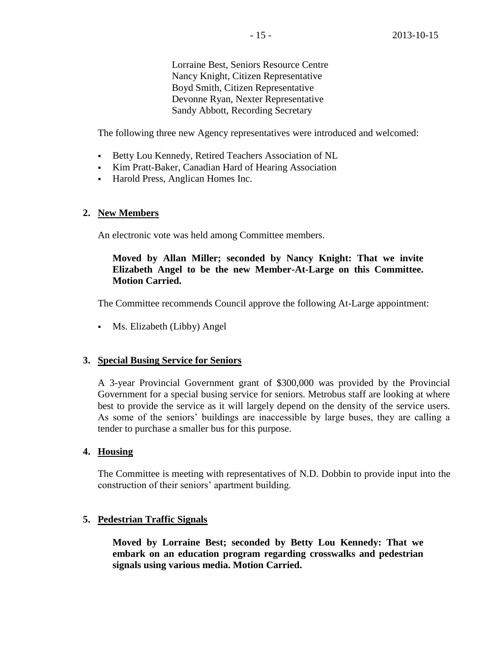Lorraine Best, Seniors Resource Centre Nancy Knight, Citizen Representative Boyd Smith, Citizen Representative Devonne Ryan, Nexter Representative Sandy Abbott, Recording Secretary

The following three new Agency representatives were introduced and welcomed:

- Betty Lou Kennedy, Retired Teachers Association of NL
- Kim Pratt-Baker, Canadian Hard of Hearing Association
- Harold Press, Anglican Homes Inc.

#### **2. New Members**

An electronic vote was held among Committee members.

#### **Moved by Allan Miller; seconded by Nancy Knight: That we invite Elizabeth Angel to be the new Member-At-Large on this Committee. Motion Carried.**

The Committee recommends Council approve the following At-Large appointment:

Ms. Elizabeth (Libby) Angel

#### **3. Special Busing Service for Seniors**

A 3-year Provincial Government grant of \$300,000 was provided by the Provincial Government for a special busing service for seniors. Metrobus staff are looking at where best to provide the service as it will largely depend on the density of the service users. As some of the seniors' buildings are inaccessible by large buses, they are calling a tender to purchase a smaller bus for this purpose.

#### **4. Housing**

The Committee is meeting with representatives of N.D. Dobbin to provide input into the construction of their seniors' apartment building.

#### **5. Pedestrian Traffic Signals**

**Moved by Lorraine Best; seconded by Betty Lou Kennedy: That we embark on an education program regarding crosswalks and pedestrian signals using various media. Motion Carried.**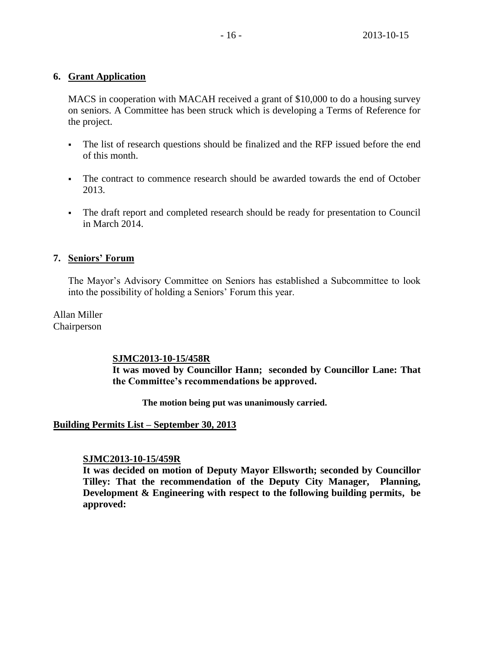# **6. Grant Application**

MACS in cooperation with MACAH received a grant of \$10,000 to do a housing survey on seniors. A Committee has been struck which is developing a Terms of Reference for the project.

- The list of research questions should be finalized and the RFP issued before the end of this month.
- The contract to commence research should be awarded towards the end of October 2013.
- The draft report and completed research should be ready for presentation to Council in March 2014.

# **7. Seniors' Forum**

The Mayor's Advisory Committee on Seniors has established a Subcommittee to look into the possibility of holding a Seniors' Forum this year.

Allan Miller Chairperson

# **SJMC2013-10-15/458R**

**It was moved by Councillor Hann; seconded by Councillor Lane: That the Committee's recommendations be approved.**

**The motion being put was unanimously carried.**

# **Building Permits List – September 30, 2013**

# **SJMC2013-10-15/459R**

**It was decided on motion of Deputy Mayor Ellsworth; seconded by Councillor Tilley: That the recommendation of the Deputy City Manager, Planning, Development & Engineering with respect to the following building permits, be approved:**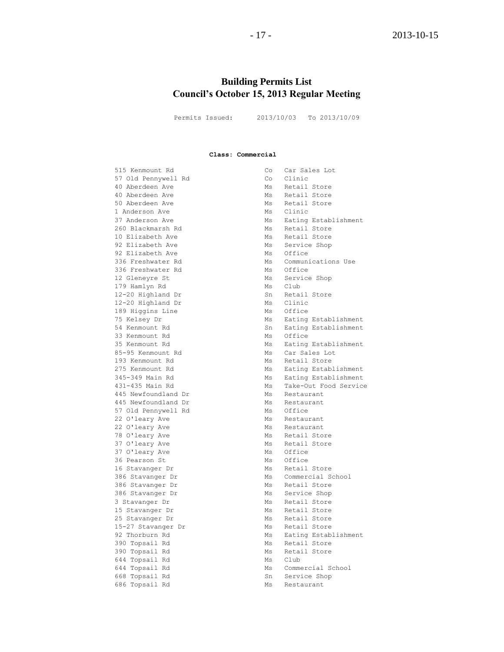#### - 17 - 2013-10-15

# **Building Permits List Council's October 15, 2013 Regular Meeting**

Permits Issued: 2013/10/03 To 2013/10/09

#### **Class: Commercial**

515 Kenmount Rd Co Car Sales Lot 57 Old Pennywell Rd 40 Aberdeen Ave and Ms Retail Store<br>40 Aberdeen Ave Ms Retail Store 40 Aberdeen Ave Monte Communications and Ms Retail Store 50 Aberdeen Ave Monte Communications and Ms Retail Store 1 Anderson Ave **Manual** Ms Clinic 260 Blackmarsh Rd Ms Retail Store 10 Elizabeth Ave **Million Communist Communist** Ms Retail Store 92 Elizabeth Ave Ms Service Shop 92 Elizabeth Ave Ms Office 336 Freshwater Rd Ms Office 12 Gleneyre St Ms Service Shop 179 Hamlyn Rd Ms Club 12-20 Highland Dr Sn Retail Store 12-20 Highland Dr Ms Clinic 189 Higgins Line Ms Office 85-95 Kenmount Rd Ms Car Sales Lot 193 Kenmount Rd Ms Ns Retail Store 445 Newfoundland Dr Ms Restaurant 445 Newfoundland Dr Ms Restaurant 57 Old Pennywell Rd Ms Office 22 O'leary Ave **MS** Restaurant 22 O'leary Ave **MS** Restaurant 78 O'leary Ave **MS** Retail Store 37 O'leary Ave Ms Retail Store 37 O'leary Ave Ms Office<br>36 Pearson St Ms Office 36 Pearson St 16 Stavanger Dr Ms Retail Store 386 Stavanger Dr Ms Retail Store 386 Stavanger Dr Ms Service Shop 3 Stavanger Dr Ms Retail Store 15 Stavanger Dr Ms Retail Store 25 Stavanger Dr Ms Retail Store 15-27 Stavanger Dr Ms Retail Store 390 Topsail Rd Ms Retail Store 390 Topsail Rd<br>644 Topsail Rd<br>Ms Club 644 Topsail Rd 668 Topsail Rd Sn Service Shop 686 Topsail Rd Ms Restaurant

37 Anderson Ave Millian Millian Millian Eating Establishment 336 Freshwater Rd Ms Communications Use 75 Kelsey Dr Ms Eating Establishment 54 Kenmount Rd Sn Eating Establishment 33 Kenmount Rd<br>35 Kenmount Rd<br>35 Kenmount Rd<br>20 Ms<br>20 Eating Establishment 35 Kenmount Rd Ms Eating Establishment 275 Kenmount Rd Ms Eating Establishment 345-349 Main Rd Ms Eating Establishment 431-435 Main Rd Ms Take-Out Food Service 386 Stavanger Dr Ms Commercial School 92 Thorburn Rd Ms Eating Establishment 644 Topsail Rd Ms Commercial School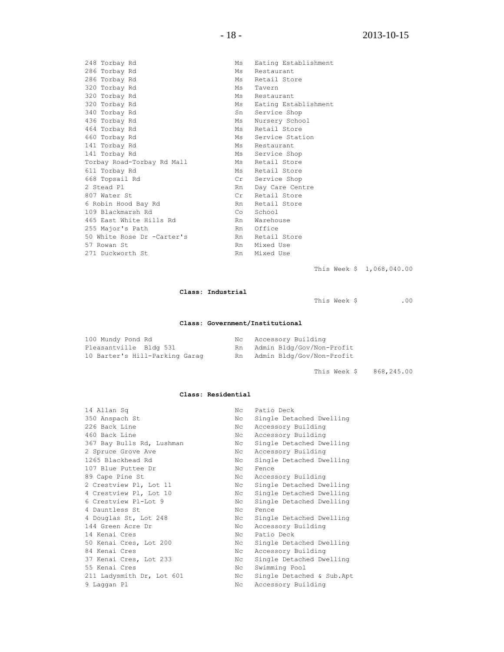| 248 Torbay Rd              | Ms                  | Eating Establishment |
|----------------------------|---------------------|----------------------|
| 286 Torbay Rd              | Ms                  | Restaurant           |
| 286 Torbay Rd              | Ms                  | Retail Store         |
| 320 Torbay Rd              | Ms                  | Tavern               |
| 320 Torbay Rd              | Ms                  | Restaurant           |
| 320 Torbay Rd              | Ms                  | Eating Establishment |
| 340 Torbay Rd              | Sn                  | Service Shop         |
| 436 Torbay Rd              | Ms                  | Nursery School       |
| 464 Torbay Rd              | Ms                  | Retail Store         |
| 660 Torbay Rd              | Ms                  | Service Station      |
| 141 Torbay Rd              | Ms                  | Restaurant           |
| 141 Torbay Rd              | Ms                  | Service Shop         |
| Torbay Road-Torbay Rd Mall | Ms                  | Retail Store         |
| 611 Torbay Rd              | Ms                  | Retail Store         |
| 668 Topsail Rd             | $\operatorname{Cr}$ | Service Shop         |
| 2 Stead Pl                 | Rn                  | Day Care Centre      |
| 807 Water St               | Cr                  | Retail Store         |
| 6 Robin Hood Bay Rd        | Rn                  | Retail Store         |
| 109 Blackmarsh Rd          | Co                  | School               |
| 465 East White Hills Rd    | Rn                  | Warehouse            |
| 255 Major's Path           | Rn.                 | Office               |
| 50 White Rose Dr -Carter's | Rn                  | Retail Store         |
| 57 Rowan St                | Rn                  | Mixed Use            |
| 271 Duckworth St           | Rn                  | Mixed Use            |
|                            |                     |                      |

This Week \$ 1,068,040.00

#### **Class: Industrial**

This Week \$ .00

#### **Class: Government/Institutional**

| 100 Mundy Pond Rd              |    | Nc Accessory Building     |
|--------------------------------|----|---------------------------|
| Pleasantville Bldg 531         | Rn | Admin Bldg/Gov/Non-Profit |
| 10 Barter's Hill-Parking Garag | Rn | Admin Bldg/Gov/Non-Profit |

This Week \$ 868,245.00

#### **Class: Residential**

| 350 Anspach St<br>Nc<br>226 Back Line<br>Accessory Building<br>Nc<br>460 Back Line<br>Accessory Building<br>Nc<br>367 Bay Bulls Rd, Lushman<br>Nc<br>2 Spruce Grove Ave<br>Nc<br>Accessory Building<br>1265 Blackhead Rd<br>Nc<br>107 Blue Puttee Dr<br>Nc<br>Fence<br>89 Cape Pine St<br>N <sup>c</sup><br>Accessory Building<br>2 Crestview Pl, Lot 11<br>Nc<br>4 Crestview Pl, Lot 10<br>Nc<br>6 Crestview Pl-Lot 9<br>Nc<br>4 Dauntless St<br>Nc<br>Fence<br>4 Douglas St, Lot 248<br>Nc<br>144 Green Acre Dr<br>Accessory Building<br>Nc<br>Patio Deck<br>14 Kenai Cres<br>Nc<br>50 Kenai Cres, Lot 200<br>Nc<br>84 Kenai Cres<br>Accessory Building<br>Nc<br>37 Kenai Cres, Lot 233<br>Nc<br>55 Kenai Cres<br>Swimming Pool<br>Nc | 14 Allan Sq | Nc. | Patio Deck                |
|-----------------------------------------------------------------------------------------------------------------------------------------------------------------------------------------------------------------------------------------------------------------------------------------------------------------------------------------------------------------------------------------------------------------------------------------------------------------------------------------------------------------------------------------------------------------------------------------------------------------------------------------------------------------------------------------------------------------------------------------|-------------|-----|---------------------------|
|                                                                                                                                                                                                                                                                                                                                                                                                                                                                                                                                                                                                                                                                                                                                         |             |     | Single Detached Dwelling  |
|                                                                                                                                                                                                                                                                                                                                                                                                                                                                                                                                                                                                                                                                                                                                         |             |     |                           |
|                                                                                                                                                                                                                                                                                                                                                                                                                                                                                                                                                                                                                                                                                                                                         |             |     |                           |
|                                                                                                                                                                                                                                                                                                                                                                                                                                                                                                                                                                                                                                                                                                                                         |             |     | Single Detached Dwelling  |
|                                                                                                                                                                                                                                                                                                                                                                                                                                                                                                                                                                                                                                                                                                                                         |             |     |                           |
|                                                                                                                                                                                                                                                                                                                                                                                                                                                                                                                                                                                                                                                                                                                                         |             |     | Single Detached Dwelling  |
|                                                                                                                                                                                                                                                                                                                                                                                                                                                                                                                                                                                                                                                                                                                                         |             |     |                           |
|                                                                                                                                                                                                                                                                                                                                                                                                                                                                                                                                                                                                                                                                                                                                         |             |     |                           |
|                                                                                                                                                                                                                                                                                                                                                                                                                                                                                                                                                                                                                                                                                                                                         |             |     | Single Detached Dwelling  |
|                                                                                                                                                                                                                                                                                                                                                                                                                                                                                                                                                                                                                                                                                                                                         |             |     | Single Detached Dwelling  |
|                                                                                                                                                                                                                                                                                                                                                                                                                                                                                                                                                                                                                                                                                                                                         |             |     | Single Detached Dwelling  |
|                                                                                                                                                                                                                                                                                                                                                                                                                                                                                                                                                                                                                                                                                                                                         |             |     |                           |
|                                                                                                                                                                                                                                                                                                                                                                                                                                                                                                                                                                                                                                                                                                                                         |             |     | Single Detached Dwelling  |
|                                                                                                                                                                                                                                                                                                                                                                                                                                                                                                                                                                                                                                                                                                                                         |             |     |                           |
|                                                                                                                                                                                                                                                                                                                                                                                                                                                                                                                                                                                                                                                                                                                                         |             |     |                           |
|                                                                                                                                                                                                                                                                                                                                                                                                                                                                                                                                                                                                                                                                                                                                         |             |     | Single Detached Dwelling  |
|                                                                                                                                                                                                                                                                                                                                                                                                                                                                                                                                                                                                                                                                                                                                         |             |     |                           |
|                                                                                                                                                                                                                                                                                                                                                                                                                                                                                                                                                                                                                                                                                                                                         |             |     | Single Detached Dwelling  |
|                                                                                                                                                                                                                                                                                                                                                                                                                                                                                                                                                                                                                                                                                                                                         |             |     |                           |
| 211 Ladysmith Dr, Lot 601<br>Nc                                                                                                                                                                                                                                                                                                                                                                                                                                                                                                                                                                                                                                                                                                         |             |     | Single Detached & Sub.Apt |
| 9 Laqqan Pl<br>Nc<br>Accessory Building                                                                                                                                                                                                                                                                                                                                                                                                                                                                                                                                                                                                                                                                                                 |             |     |                           |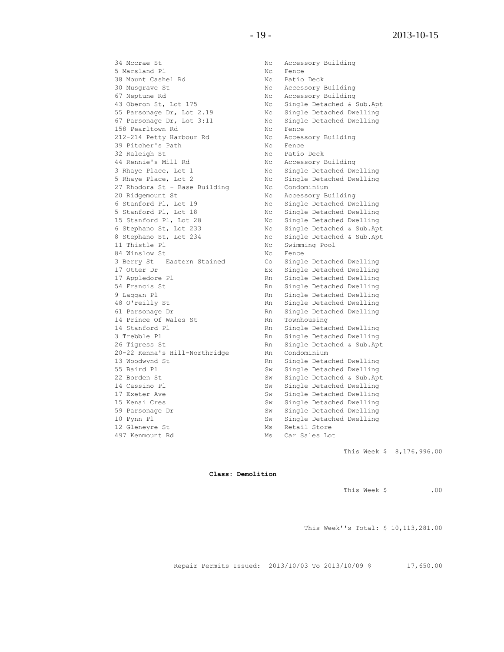34 Mccrae St Nc Accessory Building 5 Marsland Pl Nc Fence 38 Mount Cashel Rd<br>30 Musgrave St<br>27 Nucleon Rd<br>27 Nucleon Rd 30 Musgrave St Nc Accessory Building 67 Neptune Rd North Communications and Nc Accessory Building 43 Oberon St, Lot 175 Nc Single Detached & Sub.Apt 55 Parsonage Dr, Lot 2.19 Nc Single Detached Dwelling 67 Parsonage Dr, Lot 3:11 Nc Single Detached Dwelling 158 Pearltown Rd No Rence 212-214 Petty Harbour Rd Nc Accessory Building 39 Pitcher's Path Nc Fence 32 Raleigh St No Ratio Deck 44 Rennie's Mill Rd Now Mc Accessory Building 3 Rhaye Place, Lot 1 1 1 Nc Single Detached Dwelling 5 Rhaye Place, Lot 2 Nc Single Detached Dwelling 27 Rhodora St - Base Building Mc Condominium 20 Ridgemount St Nc Accessory Building 6 Stanford Pl, Lot 19 Nc Single Detached Dwelling 5 Stanford Pl, Lot 18 19 10 Nc Single Detached Dwelling 15 Stanford Pl, Lot 28 Nc Single Detached Dwelling 6 Stephano St, Lot 233 Nc Single Detached & Sub.Apt 8 Stephano St, Lot 234 Nc Single Detached & Sub.Apt 11 Thistle Pl **No. 12 Swimming Pool** 84 Winslow St Nc Fence 3 Berry St Eastern Stained Co Single Detached Dwelling 17 Otter Dr Ex Single Detached Dwelling 17 Appledore Pl **Rn** Single Detached Dwelling 54 Francis St **Rn** Single Detached Dwelling 9 Laggan Pl **Rn** Single Detached Dwelling 48 O'reilly St **Rn** Single Detached Dwelling KIL SINGLE DETAND THE STREET OF THE STREET OF THE SINGLE DETAILS OF THE PRINCIPLE OF THE RN SINGLE DETAILS OF THE PRINCIPLE OF THE PRINCIPLE OF THE STREET OF THE PRINCIPLE OF THE PRINCIPLE OF THE PRINCIPLE OF THE PRINCIPLE 14 Prince Of Wales St Rn Townhousing 14 Stanford Pl **Rn** Single Detached Dwelling 3 Trebble Pl **Rn** Single Detached Dwelling 26 Tigress St<br>
20-22 Kenna's Hill-Northridge Rn Condominium<br>
Rn Condominium 20-22 Kenna's Hill-Northridge<br>13 Woodwynd St 55 Baird Pl Sw Single Detached Dwelling 22 Borden St Sw Single Detached & Sub.Apt 14 Cassino Pl Sw Single Detached Dwelling 17 Exeter Ave Sw Single Detached Dwelling 15 Kenai Cres Sw Single Detached Dwelling 10 Pynn Pl Sw Single Detached Dwelling 12 Gleneyre St Ms Retail Store 497 Kenmount Rd Ms Car Sales Lot

Rn Single Detached Dwelling Sw Single Detached Dwelling

This Week \$ 8,176,996.00

**Class: Demolition**

This Week \$ .00

This Week''s Total: \$ 10,113,281.00

Repair Permits Issued: 2013/10/03 To 2013/10/09 \$ 17,650.00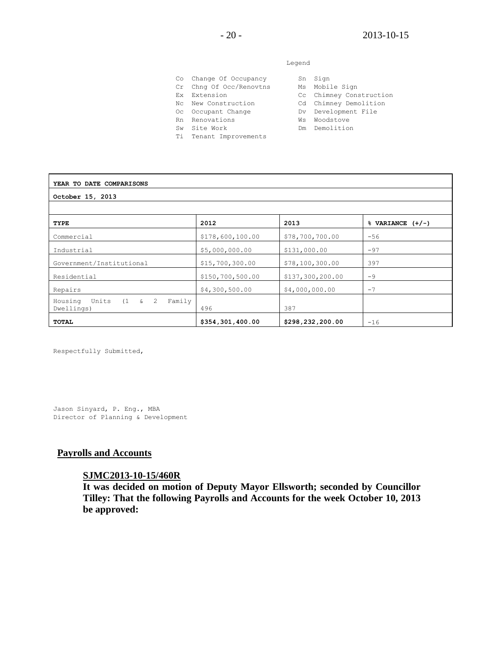#### Legend

| Co Change Of Occupancy  |    | Sn Sign                 |
|-------------------------|----|-------------------------|
|                         |    |                         |
| Cr Chng Of Occ/Renovtns |    | Ms Mobile Sign          |
| Ex Extension            |    | Cc Chimney Construction |
| No New Construction     |    | Cd Chimney Demolition   |
| Oc Occupant Change      |    | Dv Development File     |
| Rn Renovations          | Ws | Woodstove               |
| Sw Site Work            |    | Dm Demolition           |
| Ti Tenant Improvements  |    |                         |

| YEAR TO DATE COMPARISONS        |                    |                  |                      |  |  |
|---------------------------------|--------------------|------------------|----------------------|--|--|
| October 15, 2013                |                    |                  |                      |  |  |
|                                 |                    |                  |                      |  |  |
| TYPE                            | 2012               | 2013             | $%$ VARIANCE $(+/-)$ |  |  |
| Commercial                      | \$178,600,100.00   | \$78,700,700.00  | $-56$                |  |  |
| Industrial                      | \$5,000,000.00     | \$131,000.00     | $-97$                |  |  |
| Government/Institutional        | \$15,700,300.00    | \$78,100,300.00  | 397                  |  |  |
| Residential                     | \$150, 700, 500.00 | \$137,300,200.00 | $-9$                 |  |  |
| Repairs                         | \$4,300,500.00     | \$4,000,000.00   | $-7$                 |  |  |
| Housing<br>Family<br>Dwellings) | 496                | 387              |                      |  |  |
| TOTAL                           | \$354,301,400.00   | \$298,232,200.00 | $-16$                |  |  |

Respectfully Submitted,

Jason Sinyard, P. Eng., MBA Director of Planning & Development

#### **Payrolls and Accounts**

# **SJMC2013-10-15/460R**

**It was decided on motion of Deputy Mayor Ellsworth; seconded by Councillor Tilley: That the following Payrolls and Accounts for the week October 10, 2013 be approved:**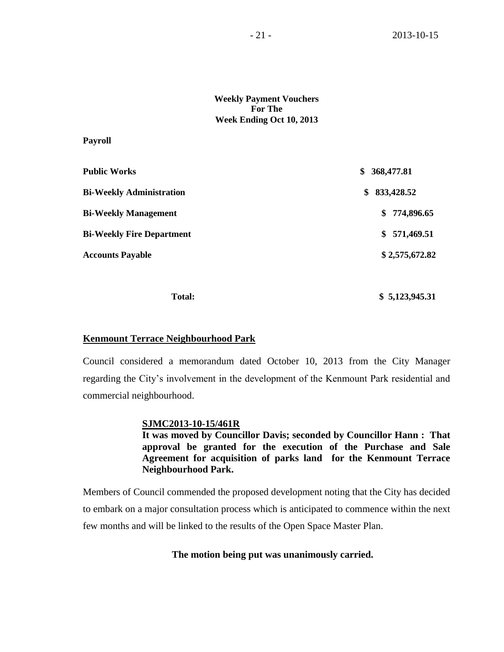#### **Weekly Payment Vouchers For The Week Ending Oct 10, 2013**

#### **Payroll**

| <b>Public Works</b>              | 368,477.81<br>S. |  |
|----------------------------------|------------------|--|
| <b>Bi-Weekly Administration</b>  | 833,428.52<br>S. |  |
| <b>Bi-Weekly Management</b>      | \$774,896.65     |  |
| <b>Bi-Weekly Fire Department</b> | \$571,469.51     |  |
| <b>Accounts Payable</b>          | \$2,575,672.82   |  |
|                                  |                  |  |

 **Total: \$ 5,123,945.31**

#### **Kenmount Terrace Neighbourhood Park**

Council considered a memorandum dated October 10, 2013 from the City Manager regarding the City's involvement in the development of the Kenmount Park residential and commercial neighbourhood.

#### **SJMC2013-10-15/461R**

**It was moved by Councillor Davis; seconded by Councillor Hann : That approval be granted for the execution of the Purchase and Sale Agreement for acquisition of parks land for the Kenmount Terrace Neighbourhood Park.**

Members of Council commended the proposed development noting that the City has decided to embark on a major consultation process which is anticipated to commence within the next few months and will be linked to the results of the Open Space Master Plan.

#### **The motion being put was unanimously carried.**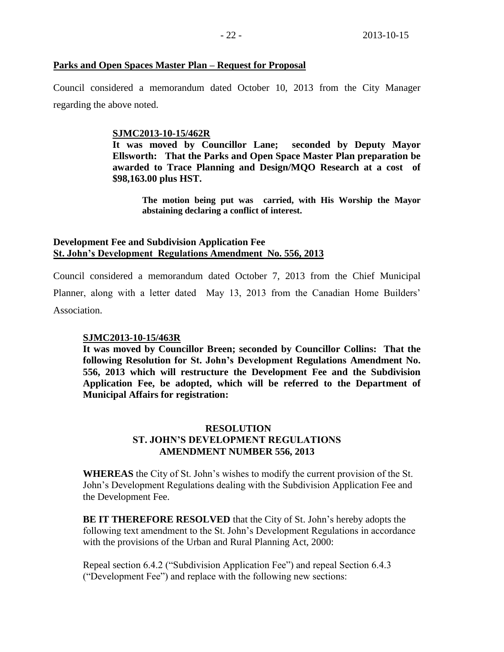#### **Parks and Open Spaces Master Plan – Request for Proposal**

Council considered a memorandum dated October 10, 2013 from the City Manager regarding the above noted.

#### **SJMC2013-10-15/462R**

**It was moved by Councillor Lane; seconded by Deputy Mayor Ellsworth: That the Parks and Open Space Master Plan preparation be awarded to Trace Planning and Design/MQO Research at a cost of \$98,163.00 plus HST.**

**The motion being put was carried, with His Worship the Mayor abstaining declaring a conflict of interest.**

#### **Development Fee and Subdivision Application Fee St. John's Development Regulations Amendment No. 556, 2013**

Council considered a memorandum dated October 7, 2013 from the Chief Municipal Planner, along with a letter dated May 13, 2013 from the Canadian Home Builders' Association.

#### **SJMC2013-10-15/463R**

**It was moved by Councillor Breen; seconded by Councillor Collins: That the following Resolution for St. John's Development Regulations Amendment No. 556, 2013 which will restructure the Development Fee and the Subdivision Application Fee, be adopted, which will be referred to the Department of Municipal Affairs for registration:**

# **RESOLUTION ST. JOHN'S DEVELOPMENT REGULATIONS AMENDMENT NUMBER 556, 2013**

**WHEREAS** the City of St. John's wishes to modify the current provision of the St. John's Development Regulations dealing with the Subdivision Application Fee and the Development Fee.

**BE IT THEREFORE RESOLVED** that the City of St. John's hereby adopts the following text amendment to the St. John's Development Regulations in accordance with the provisions of the Urban and Rural Planning Act, 2000:

Repeal section 6.4.2 ("Subdivision Application Fee") and repeal Section 6.4.3 ("Development Fee") and replace with the following new sections: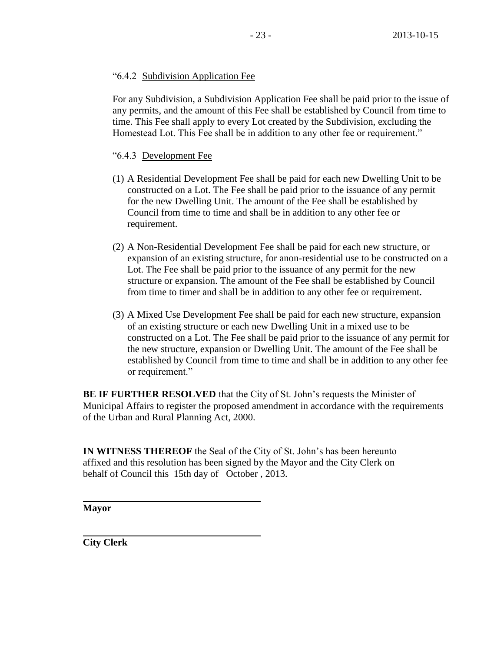# "6.4.2 Subdivision Application Fee

For any Subdivision, a Subdivision Application Fee shall be paid prior to the issue of any permits, and the amount of this Fee shall be established by Council from time to time. This Fee shall apply to every Lot created by the Subdivision, excluding the Homestead Lot. This Fee shall be in addition to any other fee or requirement."

# "6.4.3 Development Fee

- (1) A Residential Development Fee shall be paid for each new Dwelling Unit to be constructed on a Lot. The Fee shall be paid prior to the issuance of any permit for the new Dwelling Unit. The amount of the Fee shall be established by Council from time to time and shall be in addition to any other fee or requirement.
- (2) A Non-Residential Development Fee shall be paid for each new structure, or expansion of an existing structure, for anon-residential use to be constructed on a Lot. The Fee shall be paid prior to the issuance of any permit for the new structure or expansion. The amount of the Fee shall be established by Council from time to timer and shall be in addition to any other fee or requirement.
- (3) A Mixed Use Development Fee shall be paid for each new structure, expansion of an existing structure or each new Dwelling Unit in a mixed use to be constructed on a Lot. The Fee shall be paid prior to the issuance of any permit for the new structure, expansion or Dwelling Unit. The amount of the Fee shall be established by Council from time to time and shall be in addition to any other fee or requirement."

**BE IF FURTHER RESOLVED** that the City of St. John's requests the Minister of Municipal Affairs to register the proposed amendment in accordance with the requirements of the Urban and Rural Planning Act, 2000.

**IN WITNESS THEREOF** the Seal of the City of St. John's has been hereunto affixed and this resolution has been signed by the Mayor and the City Clerk on behalf of Council this 15th day of October , 2013.

**Mayor**

**City Clerk**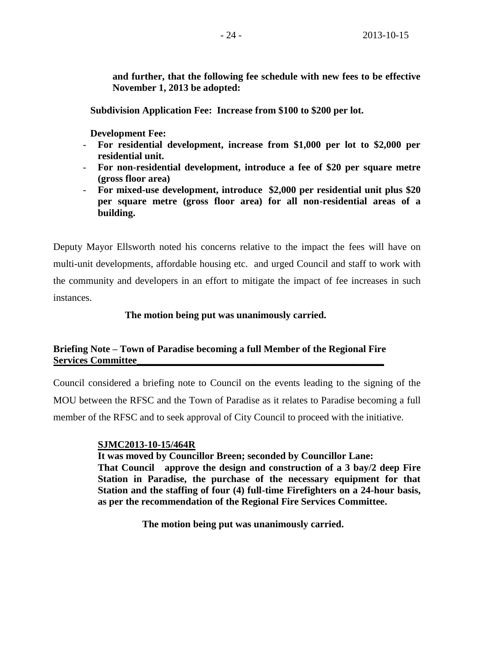**and further, that the following fee schedule with new fees to be effective November 1, 2013 be adopted:**

 **Subdivision Application Fee: Increase from \$100 to \$200 per lot.**

 **Development Fee:**

- **For residential development, increase from \$1,000 per lot to \$2,000 per residential unit.**
- **For non-residential development, introduce a fee of \$20 per square metre (gross floor area)**
- **For mixed-use development, introduce \$2,000 per residential unit plus \$20 per square metre (gross floor area) for all non-residential areas of a building.**

Deputy Mayor Ellsworth noted his concerns relative to the impact the fees will have on multi-unit developments, affordable housing etc. and urged Council and staff to work with the community and developers in an effort to mitigate the impact of fee increases in such instances.

 **The motion being put was unanimously carried.**

# **Briefing Note – Town of Paradise becoming a full Member of the Regional Fire Services Committee\_\_\_\_\_\_\_\_\_\_\_\_\_\_\_\_\_\_\_\_\_\_\_\_\_\_\_\_\_\_\_\_\_\_\_\_\_\_\_\_\_\_\_\_\_\_\_\_\_\_**

Council considered a briefing note to Council on the events leading to the signing of the MOU between the RFSC and the Town of Paradise as it relates to Paradise becoming a full member of the RFSC and to seek approval of City Council to proceed with the initiative.

# **SJMC2013-10-15/464R**

**It was moved by Councillor Breen; seconded by Councillor Lane: That Council approve the design and construction of a 3 bay/2 deep Fire Station in Paradise, the purchase of the necessary equipment for that Station and the staffing of four (4) full-time Firefighters on a 24-hour basis, as per the recommendation of the Regional Fire Services Committee.**

**The motion being put was unanimously carried.**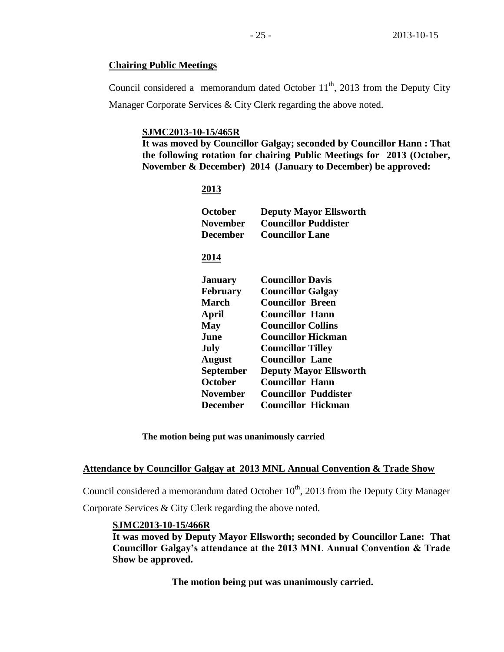#### **Chairing Public Meetings**

Council considered a memorandum dated October  $11<sup>th</sup>$ , 2013 from the Deputy City Manager Corporate Services & City Clerk regarding the above noted.

#### **SJMC2013-10-15/465R**

**It was moved by Councillor Galgay; seconded by Councillor Hann : That the following rotation for chairing Public Meetings for 2013 (October, November & December) 2014 (January to December) be approved:** 

#### **2013**

| October<br>November<br>December | <b>Deputy Mayor Ellsworth</b><br><b>Councillor Puddister</b><br><b>Councillor Lane</b> |
|---------------------------------|----------------------------------------------------------------------------------------|
| 2014                            |                                                                                        |
| <b>January</b>                  | <b>Councillor Davis</b>                                                                |
| <b>February</b>                 | <b>Councillor Galgay</b>                                                               |
| March                           | <b>Councillor Breen</b>                                                                |
| April                           | Councillor Hann                                                                        |
| May                             | <b>Councillor Collins</b>                                                              |
| June                            | <b>Councillor Hickman</b>                                                              |
| July                            | <b>Councillor Tilley</b>                                                               |
| <b>August</b>                   | <b>Councillor Lane</b>                                                                 |
| <b>September</b>                | <b>Deputy Mayor Ellsworth</b>                                                          |
| <b>October</b>                  | <b>Councillor Hann</b>                                                                 |
| <b>November</b>                 | <b>Councillor Puddister</b>                                                            |
| <b>December</b>                 | <b>Councillor Hickman</b>                                                              |

**The motion being put was unanimously carried**

#### **Attendance by Councillor Galgay at 2013 MNL Annual Convention & Trade Show**

Council considered a memorandum dated October  $10<sup>th</sup>$ , 2013 from the Deputy City Manager Corporate Services & City Clerk regarding the above noted.

# **SJMC2013-10-15/466R**

**It was moved by Deputy Mayor Ellsworth; seconded by Councillor Lane: That Councillor Galgay's attendance at the 2013 MNL Annual Convention & Trade Show be approved.**

**The motion being put was unanimously carried.**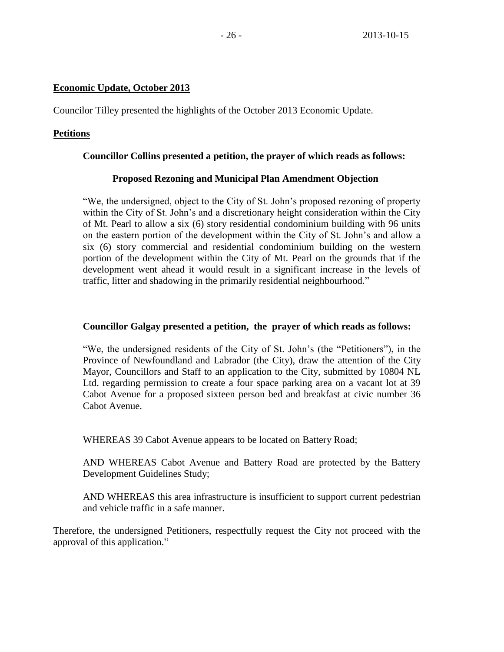# **Economic Update, October 2013**

Councilor Tilley presented the highlights of the October 2013 Economic Update.

# **Petitions**

# **Councillor Collins presented a petition, the prayer of which reads as follows:**

# **Proposed Rezoning and Municipal Plan Amendment Objection**

"We, the undersigned, object to the City of St. John's proposed rezoning of property within the City of St. John's and a discretionary height consideration within the City of Mt. Pearl to allow a six (6) story residential condominium building with 96 units on the eastern portion of the development within the City of St. John's and allow a six (6) story commercial and residential condominium building on the western portion of the development within the City of Mt. Pearl on the grounds that if the development went ahead it would result in a significant increase in the levels of traffic, litter and shadowing in the primarily residential neighbourhood."

# **Councillor Galgay presented a petition, the prayer of which reads as follows:**

"We, the undersigned residents of the City of St. John's (the "Petitioners"), in the Province of Newfoundland and Labrador (the City), draw the attention of the City Mayor, Councillors and Staff to an application to the City, submitted by 10804 NL Ltd. regarding permission to create a four space parking area on a vacant lot at 39 Cabot Avenue for a proposed sixteen person bed and breakfast at civic number 36 Cabot Avenue.

WHEREAS 39 Cabot Avenue appears to be located on Battery Road;

AND WHEREAS Cabot Avenue and Battery Road are protected by the Battery Development Guidelines Study;

AND WHEREAS this area infrastructure is insufficient to support current pedestrian and vehicle traffic in a safe manner.

Therefore, the undersigned Petitioners, respectfully request the City not proceed with the approval of this application."